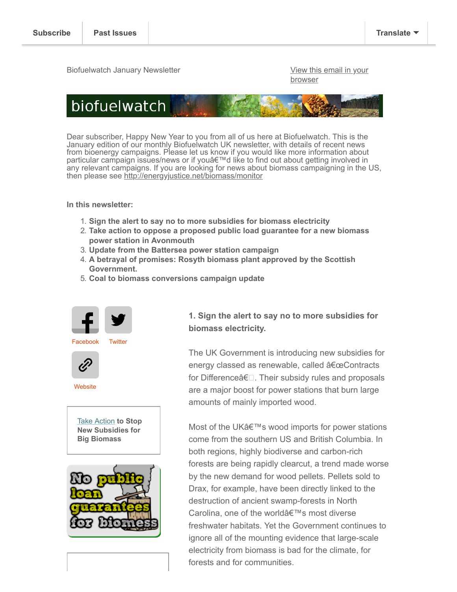Biofuelwatch January Newsletter [View this email in your](https://us4.campaign-archive.com/?e=[UNIQID]&u=2589f2f766b714016ebb1254c&id=beed27fab1)

**browser** 



Dear subscriber, Happy New Year to you from all of us here at Biofuelwatch. This is the January edition of our monthly Biofuelwatch UK newsletter, with details of recent news from bioenergy campaigns. Please let us know if you would like more information about particular campaign issues/news or if you'd like to find out about getting involved in any relevant campaigns. If you are looking for news about biomass campaigning in the US, then please see<http://energyjustice.net/biomass/monitor>

**In this newsletter:**

- 1. **Sign the alert to say no to more subsidies for biomass electricity**
- 2. **Take action to oppose a proposed public load guarantee for a new biomass power station in Avonmouth**
- 3. **Update from the Battersea power station campaign**
- 4. **A betrayal of promises: Rosyth biomass plant approved by the Scottish Government.**
- 5. **Coal to biomass conversions campaign update**







**[Website](http://biofuelwatch.org.uk/)** 

[Take Action](http://www.biofuelwatch.org.uk/2014/cfd-alert-2/) **to Stop New Subsidies for Big Biomass**



**1. Sign the alert to say no to more subsidies for biomass electricity.** 

The UK Government is introducing new subsidies for energy classed as renewable, called "Contracts for Differenceâ€<sup>[]</sup>. Their subsidy rules and proposals are a major boost for power stations that burn large amounts of mainly imported wood.

Most of the UK's wood imports for power stations come from the southern US and British Columbia. In both regions, highly biodiverse and carbon-rich forests are being rapidly clearcut, a trend made worse by the new demand for wood pellets. Pellets sold to Drax, for example, have been directly linked to the destruction of ancient swamp-forests in North Carolina, one of the world's most diverse freshwater habitats. Yet the Government continues to ignore all of the mounting evidence that large-scale electricity from biomass is bad for the climate, for forests and for communities.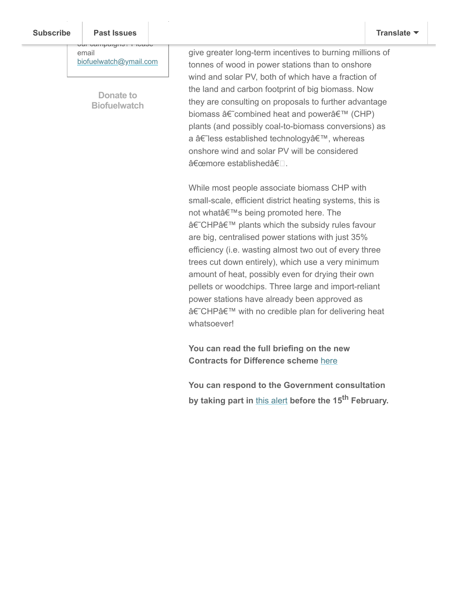#### Want to get in the get in the get Past Issues **[Subscribe](http://eepurl.com/IdZwv) Past Issues [Translate](javascript:;)**

our campaigns? Please email [biofuelwatch@ymail.com](http://biofuelwatch@ymail.com/)

> **Donate to [Biofuelwatch](http://www.biofuelwatch.org.uk/donate/)**

give greater long-term incentives to burning millions of tonnes of wood in power stations than to onshore wind and solar PV, both of which have a fraction of the land and carbon footprint of big biomass. Now they are consulting on proposals to further advantage biomass â€~combined heat and power' (CHP) plants (and possibly coal-to-biomass conversions) as a â€~less established technology', whereas onshore wind and solar PV will be considered "more establishedâ€<sup>.</sup>

While most people associate biomass CHP with small-scale, efficient district heating systems, this is not what's being promoted here. The â€~CHP' plants which the subsidy rules favour are big, centralised power stations with just 35% efficiency (i.e. wasting almost two out of every three trees cut down entirely), which use a very minimum amount of heat, possibly even for drying their own pellets or woodchips. Three large and import-reliant power stations have already been approved as â€~CHP' with no credible plan for delivering heat whatsoever!

**You can read the full briefing on the new Contracts for Difference scheme** [here](http://www.biofuelwatch.org.uk/wp-content/uploads/CfD-biomass-briefing-v3.pdf)

**You can respond to the Government consultation by taking part in** [this alert](http://www.biofuelwatch.org.uk/2014/cfd-alert-2/) **before the 15th February.**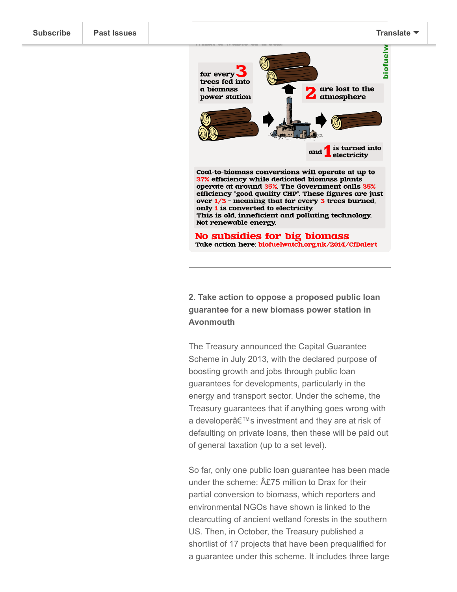

**2. Take action to oppose a proposed public loan guarantee for a new biomass power station in Avonmouth**

The Treasury announced the Capital Guarantee Scheme in July 2013, with the declared purpose of boosting growth and jobs through public loan guarantees for developments, particularly in the energy and transport sector. Under the scheme, the Treasury guarantees that if anything goes wrong with a developer's investment and they are at risk of defaulting on private loans, then these will be paid out of general taxation (up to a set level).

So far, only one public loan guarantee has been made under the scheme:  $\hat{A}E75$  million to Drax for their partial conversion to biomass, which reporters and environmental NGOs have shown is linked to the clearcutting of ancient wetland forests in the southern US. Then, in October, the Treasury published a shortlist of 17 projects that have been prequalified for a guarantee under this scheme. It includes three large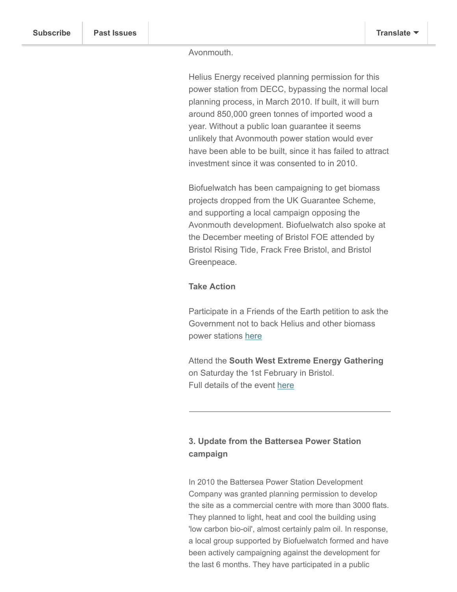### Avonmouth.

Helius Energy received planning permission for this power station from DECC, bypassing the normal local planning process, in March 2010. If built, it will burn around 850,000 green tonnes of imported wood a year. Without a public loan guarantee it seems unlikely that Avonmouth power station would ever have been able to be built, since it has failed to attract investment since it was consented to in 2010.

Biofuelwatch has been campaigning to get biomass projects dropped from the UK Guarantee Scheme, and supporting a local campaign opposing the Avonmouth development. Biofuelwatch also spoke at the December meeting of Bristol FOE attended by Bristol Rising Tide, Frack Free Bristol, and Bristol Greenpeace.

## **Take Action**

Participate in a Friends of the Earth petition to ask the Government not to back Helius and other biomass power stations [here](http://www.foe.co.uk/campaigns/biodiversity/press_for_change/stop_public_money_burn_forests_41618.html)

Attend the **South West Extreme Energy Gathering** on Saturday the 1st February in Bristol. Full details of the event [here](http://www.frackfreesomerset.org/sweeg/)

# **3. Update from the Battersea Power Station campaign**

In 2010 the Battersea Power Station Development Company was granted planning permission to develop the site as a commercial centre with more than 3000 flats. They planned to light, heat and cool the building using 'low carbon bio-oil', almost certainly palm oil. In response, a local group supported by Biofuelwatch formed and have been actively campaigning against the development for the last 6 months. They have participated in a public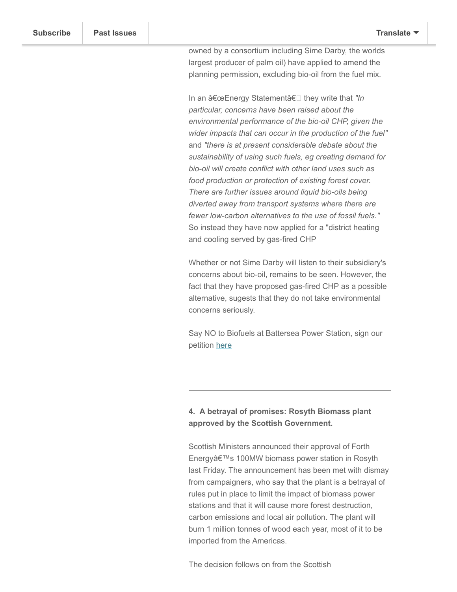owned by a consortium including Sime Darby, the worlds largest producer of palm oil) have applied to amend the planning permission, excluding bio-oil from the fuel mix.

meeting and a meeting with the developers. Now, the

In an "Energy Statementâ€<sup>□</sup> they write that "In *particular, concerns have been raised about the environmental performance of the bio-oil CHP, given the wider impacts that can occur in the production of the fuel"* and *"there is at present considerable debate about the sustainability of using such fuels, eg creating demand for bio-oil will create conflict with other land uses such as food production or protection of existing forest cover. There are further issues around liquid bio-oils being diverted away from transport systems where there are fewer low-carbon alternatives to the use of fossil fuels."* So instead they have now applied for a "district heating and cooling served by gas-fired CHP

Whether or not Sime Darby will listen to their subsidiary's concerns about bio-oil, remains to be seen. However, the fact that they have proposed gas-fired CHP as a possible alternative, sugests that they do not take environmental concerns seriously.

Say NO to Biofuels at Battersea Power Station, sign our petition [here](http://www.biofuelwatch.org.uk/?s=Battersea)

# **4. A betrayal of promises: Rosyth Biomass plant approved by the Scottish Government.**

Scottish Ministers announced their approval of Forth Energy's 100MW biomass power station in Rosyth last Friday. The announcement has been met with dismay from campaigners, who say that the plant is a betrayal of rules put in place to limit the impact of biomass power stations and that it will cause more forest destruction, carbon emissions and local air pollution. The plant will burn 1 million tonnes of wood each year, most of it to be imported from the Americas.

The decision follows on from the Scottish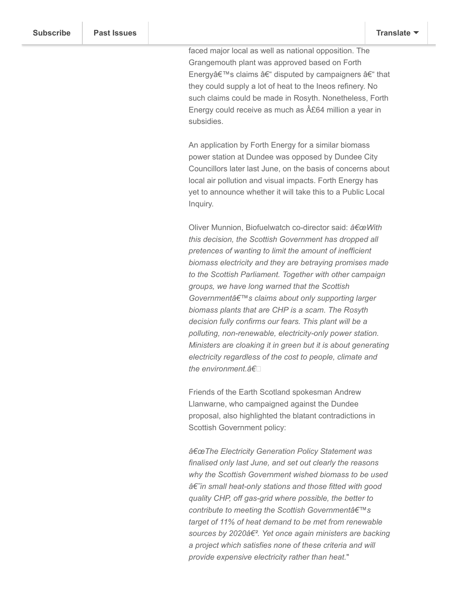faced major local as well as national opposition. The Grangemouth plant was approved based on Forth Energy's claims – disputed by campaigners – that they could supply a lot of heat to the Ineos refinery. No such claims could be made in Rosyth. Nonetheless, Forth Energy could receive as much as  $A£64$  million a year in subsidies.

An application by Forth Energy for a similar biomass power station at Dundee was opposed by Dundee City Councillors later last June, on the basis of concerns about local air pollution and visual impacts. Forth Energy has yet to announce whether it will take this to a Public Local Inquiry.

Oliver Munnion, Biofuelwatch co-director said: a€œWith *this decision, the Scottish Government has dropped all pretences of wanting to limit the amount of inefficient biomass electricity and they are betraying promises made to the Scottish Parliament. Together with other campaign groups, we have long warned that the Scottish* Governmentâ€<sup>™</sup>s claims about only supporting larger *biomass plants that are CHP is a scam. The Rosyth decision fully confirms our fears. This plant will be a polluting, non-renewable, electricity-only power station. Ministers are cloaking it in green but it is about generating electricity regardless of the cost to people, climate and the environment.â€*

Friends of the Earth Scotland spokesman Andrew Llanwarne, who campaigned against the Dundee proposal, also highlighted the blatant contradictions in Scottish Government policy:

 $â€$ ce The Electricity Generation Policy Statement was *finalised only last June, and set out clearly the reasons why the Scottish Government wished biomass to be used*  $â€$ "in small heat-only stations and those fitted with good *quality CHP, off gas-grid where possible, the better to contribute to meeting the Scottish Government's target of 11% of heat demand to be met from renewable* sources by 2020â€<sup>2</sup>. Yet once again ministers are backing *a project which satisfies none of these criteria and will provide expensive electricity rather than heat.*"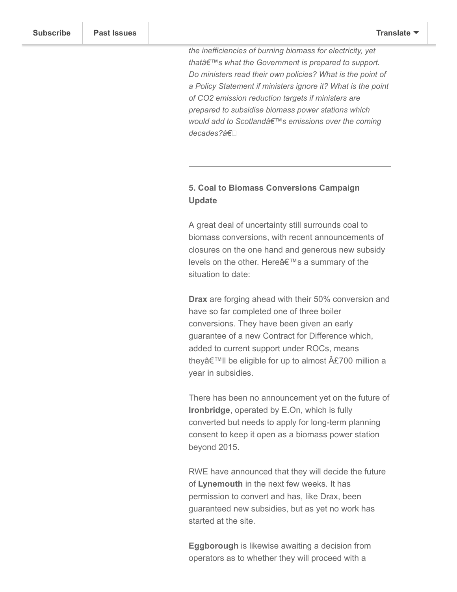*the inefficiencies of burning biomass for electricity, yet* thatâ€<sup>™</sup>s what the Government is prepared to support. *Do ministers read their own policies? What is the point of a Policy Statement if ministers ignore it? What is the point of CO2 emission reduction targets if ministers are prepared to subsidise biomass power stations which would add to Scotland's emissions over the coming decades?â€*

# **5. Coal to Biomass Conversions Campaign Update**

A great deal of uncertainty still surrounds coal to biomass conversions, with recent announcements of closures on the one hand and generous new subsidy levels on the other. Here's a summary of the situation to date:

**Drax** are forging ahead with their 50% conversion and have so far completed one of three boiler conversions. They have been given an early guarantee of a new Contract for Difference which, added to current support under ROCs, means they $\hat{\alpha} \in \mathbb{M}$ ll be eligible for up to almost A£700 million a year in subsidies.

There has been no announcement yet on the future of **Ironbridge**, operated by E.On, which is fully converted but needs to apply for long-term planning consent to keep it open as a biomass power station beyond 2015.

RWE have announced that they will decide the future of **Lynemouth** in the next few weeks. It has permission to convert and has, like Drax, been guaranteed new subsidies, but as yet no work has started at the site.

**Eggborough** is likewise awaiting a decision from operators as to whether they will proceed with a